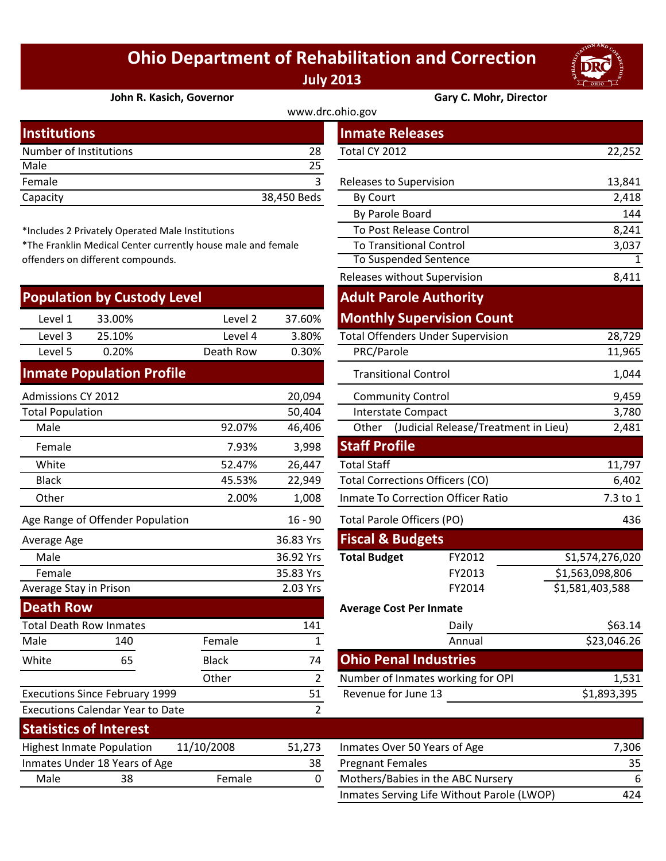## **Ohio Department of Rehabilitation and Correction July 2013**



**John R. Kasich, Governor Gary C. Mohr, Director**

| www.drc.ohio.gov       |             |                         |        |  |  |
|------------------------|-------------|-------------------------|--------|--|--|
| <b>Institutions</b>    |             | <b>Inmate Releases</b>  |        |  |  |
| Number of Institutions | 28          | Total CY 2012           | 22,252 |  |  |
| Male                   | 25          |                         |        |  |  |
| Female                 |             | Releases to Supervision | 13,841 |  |  |
| Capacity               | 38,450 Beds | By Court                | 2,418  |  |  |
|                        |             |                         |        |  |  |

\*Includes 2 Privately Operated Male Institutions

\*The Franklin Medical Center currently house male and female offenders on different compounds.

| <b>Population by Custody Level</b> |        |           |        |  |  |
|------------------------------------|--------|-----------|--------|--|--|
| Level 1                            | 33.00% | Level 2   | 37.60% |  |  |
| Level 3                            | 25.10% | Level 4   | 3.80%  |  |  |
| Level 5                            | 0.20%  | Death Row | 0.30%  |  |  |
|                                    |        |           |        |  |  |

## **Inmate Population Profile**

| Admissions CY 2012      |                                         |              | 20,094         | <b>Community Control</b>                                                                                 |                                            | 9,459           |
|-------------------------|-----------------------------------------|--------------|----------------|----------------------------------------------------------------------------------------------------------|--------------------------------------------|-----------------|
| <b>Total Population</b> |                                         |              | 50,404         | <b>Interstate Compact</b>                                                                                |                                            | 3,780           |
| Male                    |                                         | 92.07%       | 46,406         |                                                                                                          | Other (Judicial Release/Treatment in Lieu) | 2,481           |
| Female                  |                                         | 7.93%        | 3,998          | <b>Staff Profile</b>                                                                                     |                                            |                 |
| White                   |                                         | 52.47%       | 26,447         | <b>Total Staff</b>                                                                                       |                                            | 11,797          |
| <b>Black</b>            |                                         | 45.53%       | 22,949         | <b>Total Corrections Officers (CO)</b>                                                                   |                                            | 6,402           |
| Other                   |                                         | 2.00%        | 1,008          |                                                                                                          | <b>Inmate To Correction Officer Ratio</b>  | 7.3 to 1        |
|                         | Age Range of Offender Population        |              | $16 - 90$      | <b>Total Parole Officers (PO)</b>                                                                        |                                            | 436             |
| Average Age             |                                         |              | 36.83 Yrs      | <b>Fiscal &amp; Budgets</b>                                                                              |                                            |                 |
| Male                    |                                         |              | 36.92 Yrs      | <b>Total Budget</b>                                                                                      | FY2012                                     | S1,574,276,020  |
| Female                  |                                         |              | 35.83 Yrs      |                                                                                                          | FY2013                                     | \$1,563,098,806 |
| Average Stay in Prison  |                                         |              | 2.03 Yrs       |                                                                                                          | FY2014                                     | \$1,581,403,588 |
| <b>Death Row</b>        |                                         |              |                | <b>Average Cost Per Inmate</b>                                                                           |                                            |                 |
|                         | <b>Total Death Row Inmates</b>          |              | 141            |                                                                                                          | Daily                                      | \$63.14         |
| Male                    | 140                                     | Female       | 1              |                                                                                                          | Annual                                     | \$23,046.26     |
| White                   | 65                                      | <b>Black</b> | 74             | <b>Ohio Penal Industries</b>                                                                             |                                            |                 |
|                         |                                         | Other        | $\overline{2}$ |                                                                                                          | Number of Inmates working for OPI          | 1,531           |
|                         | <b>Executions Since February 1999</b>   |              | 51             | Revenue for June 13                                                                                      |                                            | \$1,893,395     |
|                         | <b>Executions Calendar Year to Date</b> |              | 2              |                                                                                                          |                                            |                 |
|                         | <b>Statistics of Interest</b>           |              |                |                                                                                                          |                                            |                 |
|                         | <b>Highest Inmate Population</b>        | 11/10/2008   | 51,273         | Inmates Over 50 Years of Age                                                                             |                                            | 7,306           |
|                         | Inmates Under 18 Years of Age           |              | 38             | <b>Pregnant Females</b>                                                                                  |                                            | 35              |
|                         |                                         | $\mathbf{r}$ |                | $\overline{a}$ is $\overline{b}$ if $\overline{a}$ is $\overline{a}$ if $\overline{a}$ is $\overline{a}$ |                                            |                 |

| stitutions                    |                                               |                                                           | <b>Inmate Releases</b> |                                          |                                            |                 |
|-------------------------------|-----------------------------------------------|-----------------------------------------------------------|------------------------|------------------------------------------|--------------------------------------------|-----------------|
|                               | mber of Institutions                          |                                                           | 28                     | Total CY 2012                            |                                            | 22,252          |
| le                            |                                               |                                                           | 25                     |                                          |                                            |                 |
| nale                          |                                               |                                                           | 3                      | Releases to Supervision                  |                                            | 13,841          |
| acity                         |                                               |                                                           | 38,450 Beds            | By Court                                 |                                            | 2,418           |
|                               |                                               |                                                           |                        | By Parole Board                          |                                            | 144             |
|                               | cludes 2 Privately Operated Male Institutions |                                                           |                        | To Post Release Control                  |                                            | 8,241           |
|                               |                                               | e Franklin Medical Center currently house male and female |                        | <b>To Transitional Control</b>           |                                            | 3,037           |
| nders on different compounds. |                                               |                                                           | To Suspended Sentence  | 1                                        |                                            |                 |
|                               |                                               |                                                           |                        | Releases without Supervision             |                                            | 8,411           |
|                               | pulation by Custody Level                     |                                                           |                        | <b>Adult Parole Authority</b>            |                                            |                 |
| Level 1                       | 33.00%                                        | Level 2                                                   | 37.60%                 |                                          | <b>Monthly Supervision Count</b>           |                 |
| Level 3                       | 25.10%                                        | Level 4                                                   | 3.80%                  | <b>Total Offenders Under Supervision</b> |                                            | 28,729          |
| Level 5                       | 0.20%                                         | Death Row                                                 | 0.30%                  | PRC/Parole                               |                                            | 11,965          |
|                               | mate Population Profile                       |                                                           |                        | <b>Transitional Control</b>              |                                            | 1,044           |
| nissions CY 2012              |                                               |                                                           | 20,094                 | <b>Community Control</b>                 |                                            | 9,459           |
| al Population                 |                                               |                                                           | 50,404                 | <b>Interstate Compact</b>                |                                            | 3,780           |
| Vlale                         |                                               | 92.07%                                                    | 46,406                 |                                          | Other (Judicial Release/Treatment in Lieu) | 2,481           |
| Female                        |                                               | 7.93%                                                     | 3,998                  | <b>Staff Profile</b>                     |                                            |                 |
| White                         |                                               | 52.47%                                                    | 26,447                 | <b>Total Staff</b>                       |                                            | 11,797          |
| <b>Black</b>                  |                                               | 45.53%                                                    | 22,949                 | <b>Total Corrections Officers (CO)</b>   |                                            | 6,402           |
| <b>Other</b>                  |                                               | 2.00%                                                     | 1,008                  | Inmate To Correction Officer Ratio       |                                            | 7.3 to 1        |
|                               | Range of Offender Population                  |                                                           | $16 - 90$              | <b>Total Parole Officers (PO)</b>        |                                            | 436             |
| rage Age                      |                                               |                                                           | 36.83 Yrs              | <b>Fiscal &amp; Budgets</b>              |                                            |                 |
| Male                          |                                               |                                                           | 36.92 Yrs              | <b>Total Budget</b>                      | FY2012                                     | S1,574,276,020  |
| Female                        |                                               |                                                           | 35.83 Yrs              |                                          | FY2013                                     | \$1,563,098,806 |
|                               | rage Stay in Prison                           |                                                           | 2.03 Yrs               |                                          | FY2014                                     | \$1,581,403,588 |
| ath Row                       |                                               |                                                           |                        | <b>Average Cost Per Inmate</b>           |                                            |                 |
|                               | al Death Row Inmates                          |                                                           | 141                    |                                          | Daily                                      | \$63.14         |
| le                            | 140                                           | Female                                                    | $\mathbf{1}$           |                                          | Annual                                     | \$23,046.26     |
| ite                           | 65                                            | <b>Black</b>                                              | 74                     | <b>Ohio Penal Industries</b>             |                                            |                 |
|                               |                                               | Other                                                     | $\overline{2}$         |                                          | Number of Inmates working for OPI          | 1,531           |
|                               | cutions Since February 1999                   |                                                           | 51                     | Revenue for June 13                      |                                            | \$1,893,395     |
|                               | cutions Calendar Year to Date                 |                                                           | $\overline{2}$         |                                          |                                            |                 |
|                               | المستحدث والمستراة أأقرم المسترقف فالمتر      |                                                           |                        |                                          |                                            |                 |

| SIALISLIUS VIIIIILEI ESLI        |                               |            |        |                                            |       |
|----------------------------------|-------------------------------|------------|--------|--------------------------------------------|-------|
| <b>Highest Inmate Population</b> |                               | 11/10/2008 | 51.273 | Inmates Over 50 Years of Age               | 7.306 |
|                                  | Inmates Under 18 Years of Age |            | 38     | <b>Pregnant Females</b>                    | 35    |
| Male                             | 38                            | Female     |        | Mothers/Babies in the ABC Nursery          |       |
|                                  |                               |            |        | Inmates Serving Life Without Parole (LWOP) | 424   |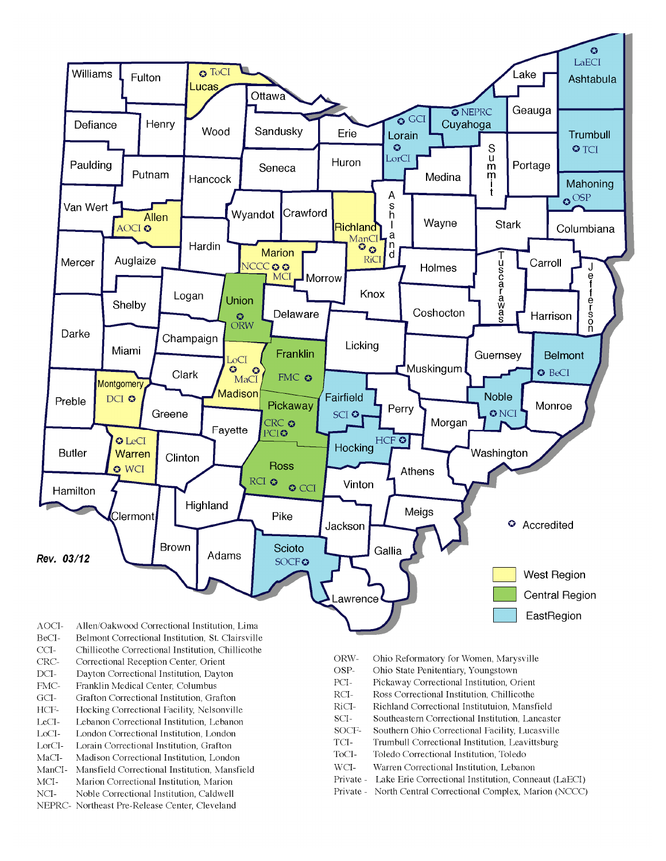

- BeCI-Belmont Correctional Institution, St. Clairsville
- $CCI-$ Chillicothe Correctional Institution, Chillicothe
- Correctional Reception Center, Orient CRC-
- $DCI-$ Dayton Correctional Institution, Dayton
- FMC-Franklin Medical Center, Columbus
- $\rm{GCI}\mbox{-}$ Grafton Correctional Institution, Grafton
- HCF-Hocking Correctional Facility, Nelsonville
- LeCI-Lebanon Correctional Institution, Lebanon
- LoCI-London Correctional Institution. London
- $\operatorname{LorCl-}$ Lorain Correctional Institution, Grafton
- $MaCI-$ Madison Correctional Institution, London
- ManCI-Mansfield Correctional Institution, Mansfield MCI-Marion Correctional Institution, Marion
- Noble Correctional Institution, Caldwell
- NCI-NEPRC- Northeast Pre-Release Center, Cleveland
- ORW-Ohio Reformatory for Women, Marysville
- OSP-Ohio State Penitentiary, Youngstown
- PCI-Pickaway Correctional Institution, Orient
- $\rm RCI-$ Ross Correctional Institution, Chillicothe
- RiCI-Richland Correctional Institutuion, Mansfield
- SCI-Southeastern Correctional Institution, Lancaster
- SOCF-Southern Ohio Correctional Facility, Lucasville
- TCI-Trumbull Correctional Institution, Leavittsburg
- ToCI-Toledo Correctional Institution, Toledo
- $WCI-$ Warren Correctional Institution, Lebanon
- Private Lake Erie Correctional Institution, Conneaut (LaECI)
- Private North Central Correctional Complex, Marion (NCCC)